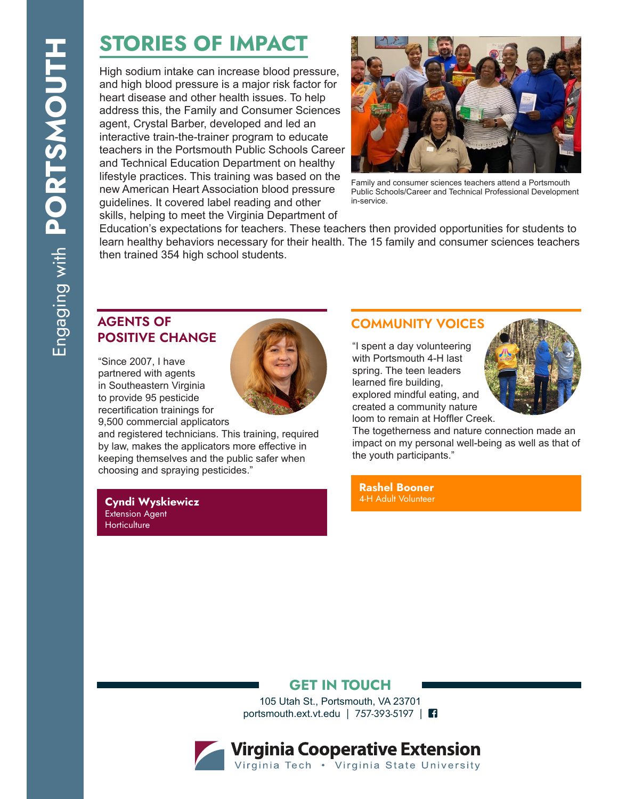# STORIES OF IMPACT

High sodium intake can increase blood pressure, and high blood pressure is a major risk factor for heart disease and other health issues. To help address this, the Family and Consumer Sciences agent, Crystal Barber, developed and led an interactive train-the-trainer program to educate teachers in the Portsmouth Public Schools Career and Technical Education Department on healthy lifestyle practices. This training was based on the new American Heart Association blood pressure guidelines. It covered label reading and other skills, helping to meet the Virginia Department of



Family and consumer sciences teachers attend a Portsmouth Public Schools/Career and Technical Professional Development in-service.

Education's expectations for teachers. These teachers then provided opportunities for students to learn healthy behaviors necessary for their health. The 15 family and consumer sciences teachers then trained 354 high school students.

### AGENTS OF POSITIVE CHANGE

"Since 2007, I have partnered with agents in Southeastern Virginia to provide 95 pesticide recertification trainings for 9,500 commercial applicators



and registered technicians. This training, required by law, makes the applicators more effective in keeping themselves and the public safer when choosing and spraying pesticides."

Cyndi Wyskiewicz Extension Agent **Horticulture** 

#### COMMUNITY VOICES

"I spent a day volunteering with Portsmouth 4-H last spring. The teen leaders learned fire building, explored mindful eating, and created a community nature loom to remain at Hoffler Creek.



The togetherness and nature connection made an impact on my personal well-being as well as that of the youth participants."

Rashel Booner 4-H Adult Volunteer

#### GET IN TOUCH

105 Utah St., Portsmouth, VA 23701 portsmouth.ext.vt.edu | 757-393-5197 |